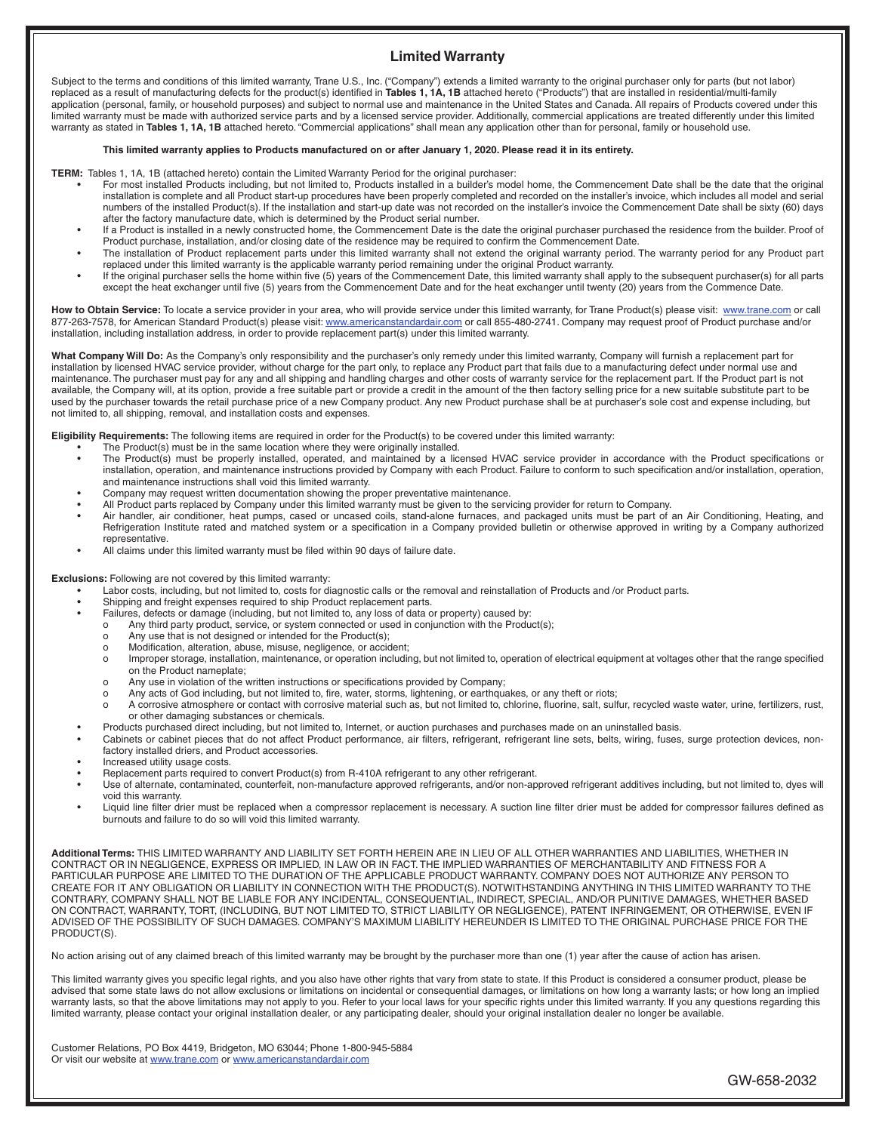# **Limited Warranty**

Subject to the terms and conditions of this limited warranty, Trane U.S., Inc. ("Company") extends a limited warranty to the original purchaser only for parts (but not labor) replaced as a result of manufacturing defects for the product(s) identified in **Tables 1, 1A, 1B** attached hereto ("Products") that are installed in residential/multi-family application (personal, family, or household purposes) and subject to normal use and maintenance in the United States and Canada. All repairs of Products covered under this limited warranty must be made with authorized service parts and by a licensed service provider. Additionally, commercial applications are treated differently under this limited warranty as stated in Tables 1, 1A, 1B attached hereto. "Commercial applications" shall mean any application other than for personal, family or household use.

### **This limited warranty applies to Products manufactured on or after January 1, 2020. Please read it in its entirety.**

**TERM:** Tables 1, 1A, 1B (attached hereto) contain the Limited Warranty Period for the original purchaser:

- For most installed Products including, but not limited to, Products installed in a builder's model home, the Commencement Date shall be the date that the original installation is complete and all Product start-up procedures have been properly completed and recorded on the installer's invoice, which includes all model and serial numbers of the installed Product(s). If the installation and start-up date was not recorded on the installer's invoice the Commencement Date shall be sixty (60) days after the factory manufacture date, which is determined by the Product serial number.
- If a Product is installed in a newly constructed home, the Commencement Date is the date the original purchaser purchased the residence from the builder. Proof of Product purchase, installation, and/or closing date of the residence may be required to confirm the Commencement Date.
- The installation of Product replacement parts under this limited warranty shall not extend the original warranty period. The warranty period for any Product part replaced under this limited warranty is the applicable warranty period remaining under the original Product warranty.
- If the original purchaser sells the home within five (5) years of the Commencement Date, this limited warranty shall apply to the subsequent purchaser(s) for all parts except the heat exchanger until five (5) years from the Commencement Date and for the heat exchanger until twenty (20) years from the Commence Date.

**How to Obtain Service:** To locate a service provider in your area, who will provide service under this limited warranty, for Trane Product(s) please visit: www.trane.com or call 877-263-7578, for American Standard Product(s) please visit: www.americanstandardair.com or call 855-480-2741. Company may request proof of Product purchase and/or installation, including installation address, in order to provide replacement part(s) under this limited warranty.

What Company Will Do: As the Company's only responsibility and the purchaser's only remedy under this limited warranty, Company will furnish a replacement part for installation by licensed HVAC service provider, without charge for the part only, to replace any Product part that fails due to a manufacturing defect under normal use and maintenance. The purchaser must pay for any and all shipping and handling charges and other costs of warranty service for the replacement part. If the Product part is not available, the Company will, at its option, provide a free suitable part or provide a credit in the amount of the then factory selling price for a new suitable substitute part to be used by the purchaser towards the retail purchase price of a new Company product. Any new Product purchase shall be at purchaser's sole cost and expense including, but not limited to, all shipping, removal, and installation costs and expenses.

**Eligibility Requirements:** The following items are required in order for the Product(s) to be covered under this limited warranty:

- The Product(s) must be in the same location where they were originally installed.
- The Product(s) must be properly installed, operated, and maintained by a licensed HVAC service provider in accordance with the Product specifications or installation, operation, and maintenance instructions provided by Company with each Product. Failure to conform to such specification and/or installation, operation, and maintenance instructions shall void this limited warranty.
- Company may request written documentation showing the proper preventative maintenance.
- All Product parts replaced by Company under this limited warranty must be given to the servicing provider for return to Company.
- Air handler, air conditioner, heat pumps, cased or uncased coils, stand-alone furnaces, and packaged units must be part of an Air Conditioning, Heating, and Refrigeration Institute rated and matched system or a specification in a Company provided bulletin or otherwise approved in writing by a Company authorized representative.
- All claims under this limited warranty must be filed within 90 days of failure date.

**Exclusions:** Following are not covered by this limited warranty:

- Labor costs, including, but not limited to, costs for diagnostic calls or the removal and reinstallation of Products and /or Product parts.
- Shipping and freight expenses required to ship Product replacement parts.
- Failures, defects or damage (including, but not limited to, any loss of data or property) caused by:
- o Any third party product, service, or system connected or used in conjunction with the Product(s);
- o Any use that is not designed or intended for the Product(s);
- o Modification, alteration, abuse, misuse, negligence, or accident;
- o Improper storage, installation, maintenance, or operation including, but not limited to, operation of electrical equipment at voltages other that the range specified on the Product nameplate;
- o Any use in violation of the written instructions or specifications provided by Company;
- o Any acts of God including, but not limited to, fire, water, storms, lightening, or earthquakes, or any theft or riots;
- o A corrosive atmosphere or contact with corrosive material such as, but not limited to, chlorine, fluorine, salt, sulfur, recycled waste water, urine, fertilizers, rust, or other damaging substances or chemicals.
- Products purchased direct including, but not limited to, Internet, or auction purchases and purchases made on an uninstalled basis.
- Cabinets or cabinet pieces that do not affect Product performance, air filters, refrigerant, refrigerant line sets, belts, wiring, fuses, surge protection devices, nonfactory installed driers, and Product accessories.
- Increased utility usage costs.
- Replacement parts required to convert Product(s) from R-410A refrigerant to any other refrigerant.
- Use of alternate, contaminated, counterfeit, non-manufacture approved refrigerants, and/or non-approved refrigerant additives including, but not limited to, dyes will void this warranty.
- Liquid line filter drier must be replaced when a compressor replacement is necessary. A suction line filter drier must be added for compressor failures defined as burnouts and failure to do so will void this limited warranty.

**Additional Terms:** THIS LIMITED WARRANTY AND LIABILITY SET FORTH HEREIN ARE IN LIEU OF ALL OTHER WARRANTIES AND LIABILITIES, WHETHER IN CONTRACT OR IN NEGLIGENCE, EXPRESS OR IMPLIED, IN LAW OR IN FACT. THE IMPLIED WARRANTIES OF MERCHANTABILITY AND FITNESS FOR A PARTICULAR PURPOSE ARE LIMITED TO THE DURATION OF THE APPLICABLE PRODUCT WARRANTY. COMPANY DOES NOT AUTHORIZE ANY PERSON TO CREATE FOR IT ANY OBLIGATION OR LIABILITY IN CONNECTION WITH THE PRODUCT(S). NOTWITHSTANDING ANYTHING IN THIS LIMITED WARRANTY TO THE CONTRARY, COMPANY SHALL NOT BE LIABLE FOR ANY INCIDENTAL, CONSEQUENTIAL, INDIRECT, SPECIAL, AND/OR PUNITIVE DAMAGES, WHETHER BASED ON CONTRACT, WARRANTY, TORT, (INCLUDING, BUT NOT LIMITED TO, STRICT LIABILITY OR NEGLIGENCE), PATENT INFRINGEMENT, OR OTHERWISE, EVEN IF ADVISED OF THE POSSIBILITY OF SUCH DAMAGES. COMPANY'S MAXIMUM LIABILITY HEREUNDER IS LIMITED TO THE ORIGINAL PURCHASE PRICE FOR THE PRODUCT(S).

No action arising out of any claimed breach of this limited warranty may be brought by the purchaser more than one (1) year after the cause of action has arisen.

This limited warranty gives you specific legal rights, and you also have other rights that vary from state to state. If this Product is considered a consumer product, please be advised that some state laws do not allow exclusions or limitations on incidental or consequential damages, or limitations on how long a warranty lasts; or how long an implied warranty lasts, so that the above limitations may not apply to you. Refer to your local laws for your specific rights under this limited warranty. If you any questions regarding this limited warranty, please contact your original installation dealer, or any participating dealer, should your original installation dealer no longer be available.

Customer Relations, PO Box 4419, Bridgeton, MO 63044; Phone 1-800-945-5884 Or visit our website at www.trane.com or www.americanstandardair.com